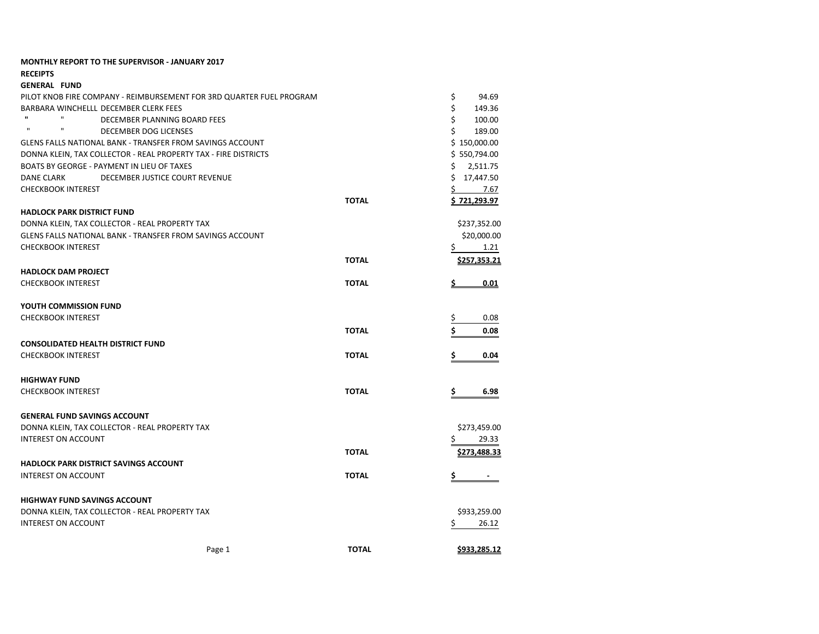| <b>MONTHLY REPORT TO THE SUPERVISOR - JANUARY 2017</b>               |              |                     |
|----------------------------------------------------------------------|--------------|---------------------|
| <b>RECEIPTS</b>                                                      |              |                     |
| <b>GENERAL FUND</b>                                                  |              |                     |
| PILOT KNOB FIRE COMPANY - REIMBURSEMENT FOR 3RD QUARTER FUEL PROGRAM |              | \$<br>94.69         |
| BARBARA WINCHELLL DECEMBER CLERK FEES                                |              | \$<br>149.36        |
| $\mathbf{u}$<br>$\mathbf{u}$<br>DECEMBER PLANNING BOARD FEES         |              | \$<br>100.00        |
| $\mathbf{u}$<br>$\mathbf{u}$<br>DECEMBER DOG LICENSES                |              | \$<br>189.00        |
| <b>GLENS FALLS NATIONAL BANK - TRANSFER FROM SAVINGS ACCOUNT</b>     |              | \$150,000.00        |
| DONNA KLEIN, TAX COLLECTOR - REAL PROPERTY TAX - FIRE DISTRICTS      |              | \$550,794.00        |
| BOATS BY GEORGE - PAYMENT IN LIEU OF TAXES                           |              | \$<br>2,511.75      |
| DECEMBER JUSTICE COURT REVENUE<br>DANE CLARK                         |              | \$17,447.50         |
| <b>CHECKBOOK INTEREST</b>                                            |              | \$.<br>7.67         |
|                                                                      | <b>TOTAL</b> | <u>\$721,293.97</u> |
| <b>HADLOCK PARK DISTRICT FUND</b>                                    |              |                     |
| DONNA KLEIN, TAX COLLECTOR - REAL PROPERTY TAX                       |              | \$237,352.00        |
| GLENS FALLS NATIONAL BANK - TRANSFER FROM SAVINGS ACCOUNT            |              | \$20,000.00         |
| <b>CHECKBOOK INTEREST</b>                                            |              | \$<br>1.21          |
|                                                                      | <b>TOTAL</b> | <u>\$257,353.21</u> |
| <b>HADLOCK DAM PROJECT</b>                                           |              |                     |
| <b>CHECKBOOK INTEREST</b>                                            | <b>TOTAL</b> | 0.01                |
|                                                                      |              |                     |
| YOUTH COMMISSION FUND                                                |              |                     |
| <b>CHECKBOOK INTEREST</b>                                            |              | Ş<br>0.08           |
|                                                                      | <b>TOTAL</b> | \$                  |
|                                                                      |              | 0.08                |
| <b>CONSOLIDATED HEALTH DISTRICT FUND</b>                             |              |                     |
| <b>CHECKBOOK INTEREST</b>                                            | <b>TOTAL</b> | 0.04                |
|                                                                      |              |                     |
| <b>HIGHWAY FUND</b>                                                  |              |                     |
| <b>CHECKBOOK INTEREST</b>                                            | <b>TOTAL</b> | 6.98<br>\$          |
|                                                                      |              |                     |
| <b>GENERAL FUND SAVINGS ACCOUNT</b>                                  |              |                     |
| DONNA KLEIN, TAX COLLECTOR - REAL PROPERTY TAX                       |              | \$273,459.00        |
| <b>INTEREST ON ACCOUNT</b>                                           |              | \$<br>29.33         |
|                                                                      | <b>TOTAL</b> | \$273,488.33        |
| <b>HADLOCK PARK DISTRICT SAVINGS ACCOUNT</b>                         |              |                     |
| <b>INTEREST ON ACCOUNT</b>                                           | <b>TOTAL</b> | \$                  |
|                                                                      |              |                     |
| <b>HIGHWAY FUND SAVINGS ACCOUNT</b>                                  |              |                     |
| DONNA KLEIN, TAX COLLECTOR - REAL PROPERTY TAX                       |              | \$933,259.00        |
| <b>INTEREST ON ACCOUNT</b>                                           |              | 26.12<br>Ş          |
|                                                                      |              |                     |
|                                                                      |              |                     |
| Page 1                                                               | <b>TOTAL</b> | <u>\$933,285.12</u> |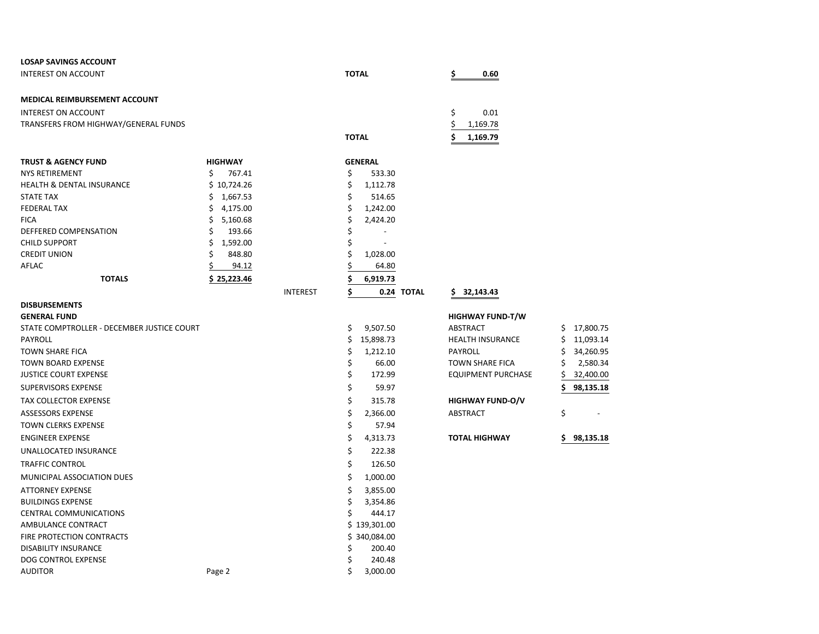| <b>LOSAP SAVINGS ACCOUNT</b>               |                 |                                |                         |                      |
|--------------------------------------------|-----------------|--------------------------------|-------------------------|----------------------|
| <b>INTEREST ON ACCOUNT</b>                 |                 | <b>TOTAL</b>                   | \$<br>0.60              |                      |
| MEDICAL REIMBURSEMENT ACCOUNT              |                 |                                |                         |                      |
| <b>INTEREST ON ACCOUNT</b>                 |                 |                                | \$<br>0.01              |                      |
| TRANSFERS FROM HIGHWAY/GENERAL FUNDS       |                 |                                | \$<br>1,169.78          |                      |
|                                            |                 | <b>TOTAL</b>                   | 1,169.79                |                      |
| <b>TRUST &amp; AGENCY FUND</b>             | <b>HIGHWAY</b>  | <b>GENERAL</b>                 |                         |                      |
| <b>NYS RETIREMENT</b>                      | \$<br>767.41    | \$<br>533.30                   |                         |                      |
| <b>HEALTH &amp; DENTAL INSURANCE</b>       | \$10,724.26     | \$<br>1,112.78                 |                         |                      |
| STATE TAX                                  | 1,667.53<br>\$. | \$<br>514.65                   |                         |                      |
| <b>FEDERAL TAX</b>                         | \$<br>4,175.00  | \$<br>1,242.00                 |                         |                      |
| <b>FICA</b>                                | \$<br>5,160.68  | \$<br>2,424.20                 |                         |                      |
| DEFFERED COMPENSATION                      | \$<br>193.66    | \$                             |                         |                      |
| <b>CHILD SUPPORT</b>                       | \$<br>1,592.00  | \$<br>$\overline{\phantom{a}}$ |                         |                      |
| <b>CREDIT UNION</b>                        | Ś<br>848.80     | \$<br>1,028.00                 |                         |                      |
| AFLAC                                      | 94.12           | \$<br>64.80                    |                         |                      |
| <b>TOTALS</b>                              | \$25,223.46     | Ś<br>6,919.73                  |                         |                      |
|                                            | <b>INTEREST</b> | \$<br>0.24 TOTAL               | 32,143.43<br>S.         |                      |
| <b>DISBURSEMENTS</b>                       |                 |                                |                         |                      |
| <b>GENERAL FUND</b>                        |                 |                                | <b>HIGHWAY FUND-T/W</b> |                      |
| STATE COMPTROLLER - DECEMBER JUSTICE COURT |                 | \$<br>9,507.50                 | ABSTRACT                | \$17,800.75          |
| <b>PAYROLL</b>                             |                 | \$<br>15,898.73                | <b>HEALTH INSURANCE</b> | \$<br>11,093.14      |
| <b>TOWN SHARE FICA</b>                     |                 | \$<br>1,212.10                 | <b>PAYROLL</b>          | \$<br>34,260.95      |
| <b>TOWN BOARD EXPENSE</b>                  |                 | \$<br>66.00<br>\$<br>172.99    | <b>TOWN SHARE FICA</b>  | 2,580.34<br>\$<br>\$ |
| <b>JUSTICE COURT EXPENSE</b>               |                 |                                | EQUIPMENT PURCHASE      | 32,400.00            |
| <b>SUPERVISORS EXPENSE</b>                 |                 | Ś<br>59.97                     |                         | \$<br>98,135.18      |
| <b>TAX COLLECTOR EXPENSE</b>               |                 | \$<br>315.78                   | <b>HIGHWAY FUND-O/V</b> |                      |
| <b>ASSESSORS EXPENSE</b>                   |                 | \$<br>2,366.00                 | <b>ABSTRACT</b>         | \$                   |
| <b>TOWN CLERKS EXPENSE</b>                 |                 | \$<br>57.94                    |                         |                      |
| <b>ENGINEER EXPENSE</b>                    |                 | \$<br>4,313.73                 | <b>TOTAL HIGHWAY</b>    | 98,135.18<br>S.      |
| UNALLOCATED INSURANCE                      |                 | \$<br>222.38                   |                         |                      |
| <b>TRAFFIC CONTROL</b>                     |                 | \$<br>126.50                   |                         |                      |
| MUNICIPAL ASSOCIATION DUES                 |                 | \$<br>1,000.00                 |                         |                      |
| <b>ATTORNEY EXPENSE</b>                    |                 | \$<br>3,855.00                 |                         |                      |
| <b>BUILDINGS EXPENSE</b>                   |                 | \$<br>3,354.86                 |                         |                      |
| <b>CENTRAL COMMUNICATIONS</b>              |                 | Ś<br>444.17                    |                         |                      |
| AMBULANCE CONTRACT                         |                 | \$139,301.00                   |                         |                      |
| FIRE PROTECTION CONTRACTS                  |                 | 340,084.00<br>S.               |                         |                      |
| <b>DISABILITY INSURANCE</b>                |                 | 200.40<br>Ś                    |                         |                      |
| DOG CONTROL EXPENSE                        |                 | \$<br>240.48                   |                         |                      |
| <b>AUDITOR</b>                             | Page 2          | \$<br>3,000.00                 |                         |                      |

| <b>HIGHWAY FUND-T/W</b>   |    |           |
|---------------------------|----|-----------|
| ABSTRACT                  | Ś  | 17,800.75 |
| <b>HEALTH INSURANCE</b>   | Ś  | 11,093.14 |
| PAYROLL                   | Ś  | 34,260.95 |
| <b>TOWN SHARE FICA</b>    | Ś  | 2,580.34  |
| <b>EQUIPMENT PURCHASE</b> | \$ | 32,400.00 |
|                           | \$ | 98,135.18 |
| <b>HIGHWAY FUND-O/V</b>   |    |           |
| ABSTRACT                  | Ś  |           |
|                           |    |           |
|                           |    |           |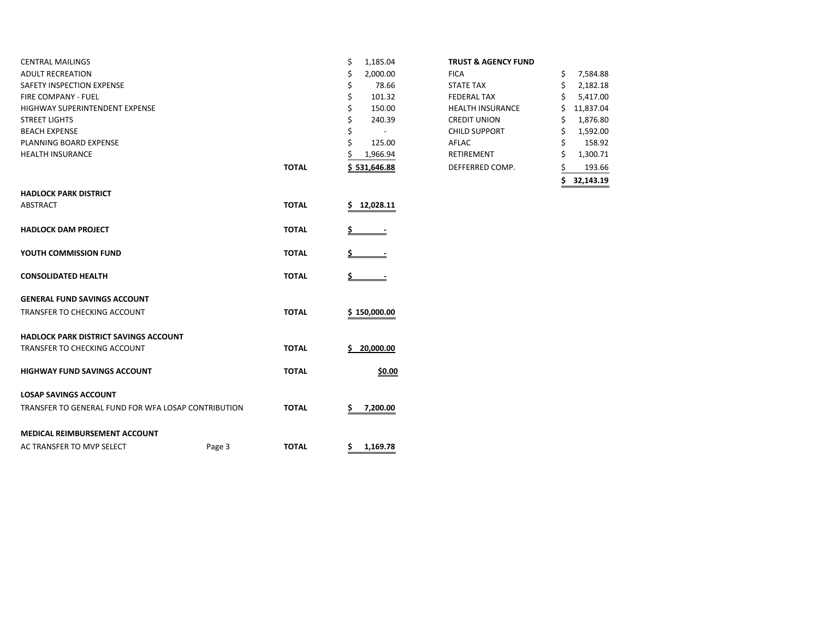| <b>CENTRAL MAILINGS</b>                             |        |              | \$<br>1,185.04 | <b>TRUST &amp; AGENCY FUND</b> |               |
|-----------------------------------------------------|--------|--------------|----------------|--------------------------------|---------------|
| <b>ADULT RECREATION</b>                             |        |              | 2,000.00       | <b>FICA</b>                    | 7,584.88<br>S |
| SAFETY INSPECTION EXPENSE                           |        |              | 78.66          | <b>STATE TAX</b>               | 2,182.18      |
| <b>FIRE COMPANY - FUEL</b>                          |        |              | 101.32         | <b>FEDERAL TAX</b>             | 5,417.00      |
| <b>HIGHWAY SUPERINTENDENT EXPENSE</b>               |        |              | 150.00         | <b>HEALTH INSURANCE</b>        | 11,837.04     |
| <b>STREET LIGHTS</b>                                |        |              | 240.39         | <b>CREDIT UNION</b>            | 1,876.80<br>Ş |
| <b>BEACH EXPENSE</b>                                |        |              |                | <b>CHILD SUPPORT</b>           | 1,592.00<br>S |
| PLANNING BOARD EXPENSE                              |        |              | 125.00         | AFLAC                          | 158.92        |
| <b>HEALTH INSURANCE</b>                             |        |              | 1,966.94       | RETIREMENT                     | 1,300.71      |
|                                                     |        | <b>TOTAL</b> | \$531,646.88   | DEFFERRED COMP.                | 193.66        |
|                                                     |        |              |                |                                | 32,143.19     |
| <b>HADLOCK PARK DISTRICT</b>                        |        |              |                |                                |               |
| ABSTRACT                                            |        | <b>TOTAL</b> | 12,028.11      |                                |               |
| <b>HADLOCK DAM PROJECT</b>                          |        | <b>TOTAL</b> |                |                                |               |
| YOUTH COMMISSION FUND                               |        | <b>TOTAL</b> |                |                                |               |
| <b>CONSOLIDATED HEALTH</b>                          |        | <b>TOTAL</b> |                |                                |               |
| <b>GENERAL FUND SAVINGS ACCOUNT</b>                 |        |              |                |                                |               |
| TRANSFER TO CHECKING ACCOUNT                        |        | <b>TOTAL</b> | \$150,000.00   |                                |               |
| HADLOCK PARK DISTRICT SAVINGS ACCOUNT               |        |              |                |                                |               |
| TRANSFER TO CHECKING ACCOUNT                        |        | <b>TOTAL</b> | 20,000.00      |                                |               |
| <b>HIGHWAY FUND SAVINGS ACCOUNT</b>                 |        | <b>TOTAL</b> | \$0.00         |                                |               |
| <b>LOSAP SAVINGS ACCOUNT</b>                        |        |              |                |                                |               |
| TRANSFER TO GENERAL FUND FOR WFA LOSAP CONTRIBUTION |        | <b>TOTAL</b> | 7,200.00       |                                |               |
| <b>MEDICAL REIMBURSEMENT ACCOUNT</b>                |        |              |                |                                |               |
| AC TRANSFER TO MVP SELECT                           | Page 3 | <b>TOTAL</b> | \$1,169.78     |                                |               |

|       |                |                                | 32,143.19       |
|-------|----------------|--------------------------------|-----------------|
| ΤΟΤΑL | \$531,646.88   | DEFFERRED COMP.                | 193.66          |
|       | 1,966.94       | RETIREMENT                     | \$<br>1,300.71  |
|       | \$<br>125.00   | AFLAC                          | \$<br>158.92    |
|       | \$             | <b>CHILD SUPPORT</b>           | \$<br>1,592.00  |
|       | \$<br>240.39   | <b>CREDIT UNION</b>            | \$<br>1,876.80  |
|       | \$<br>150.00   | <b>HEALTH INSURANCE</b>        | \$<br>11,837.04 |
|       | \$<br>101.32   | <b>FEDERAL TAX</b>             | \$<br>5,417.00  |
|       | \$<br>78.66    | <b>STATE TAX</b>               | \$<br>2,182.18  |
|       | \$<br>2,000.00 | <b>FICA</b>                    | \$<br>7,584.88  |
|       | \$<br>1,185.04 | <b>TRUST &amp; AGENCY FUND</b> |                 |
|       |                |                                |                 |